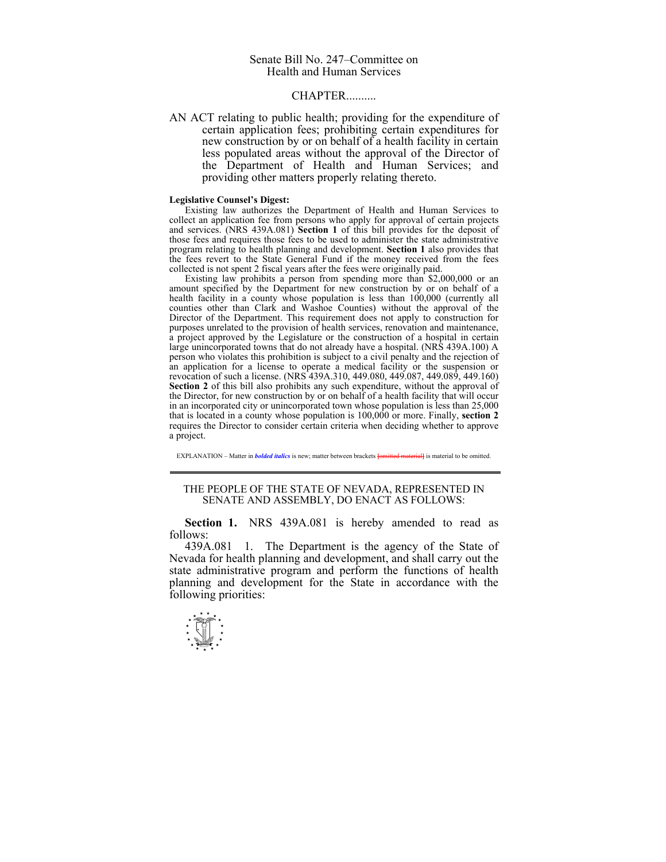## CHAPTER..........

AN ACT relating to public health; providing for the expenditure of certain application fees; prohibiting certain expenditures for new construction by or on behalf of a health facility in certain less populated areas without the approval of the Director of the Department of Health and Human Services; and providing other matters properly relating thereto.

## **Legislative Counsel's Digest:**

 Existing law authorizes the Department of Health and Human Services to collect an application fee from persons who apply for approval of certain projects and services. (NRS 439A.081) **Section 1** of this bill provides for the deposit of those fees and requires those fees to be used to administer the state administrative program relating to health planning and development. **Section 1** also provides that the fees revert to the State General Fund if the money received from the fees collected is not spent 2 fiscal years after the fees were originally paid.

Existing law prohibits a person from spending more than \$2,000,000 or an amount specified by the Department for new construction by or on behalf of a health facility in a county whose population is less than  $100,000$  (currently all counties other than Clark and Washoe Counties) without the approval of the Director of the Department. This requirement does not apply to construction for purposes unrelated to the provision of health services, renovation and maintenance, a project approved by the Legislature or the construction of a hospital in certain large unincorporated towns that do not already have a hospital. (NRS 439A.100) A person who violates this prohibition is subject to a civil penalty and the rejection of an application for a license to operate a medical facility or the suspension or revocation of such a license. (NRS 439A.310, 449.080, 449.087, 449.089, 449.160) **Section 2** of this bill also prohibits any such expenditure, without the approval of the Director, for new construction by or on behalf of a health facility that will occur in an incorporated city or unincorporated town whose population is less than 25,000 that is located in a county whose population is 100,000 or more. Finally, **section 2** requires the Director to consider certain criteria when deciding whether to approve a project.

EXPLANATION – Matter in *bolded italics* is new; matter between brackets **[**omitted material**]** is material to be omitted.

## THE PEOPLE OF THE STATE OF NEVADA, REPRESENTED IN SENATE AND ASSEMBLY, DO ENACT AS FOLLOWS:

 **Section 1.** NRS 439A.081 is hereby amended to read as follows:

439A.081 1. The Department is the agency of the State of Nevada for health planning and development, and shall carry out the state administrative program and perform the functions of health planning and development for the State in accordance with the following priorities:

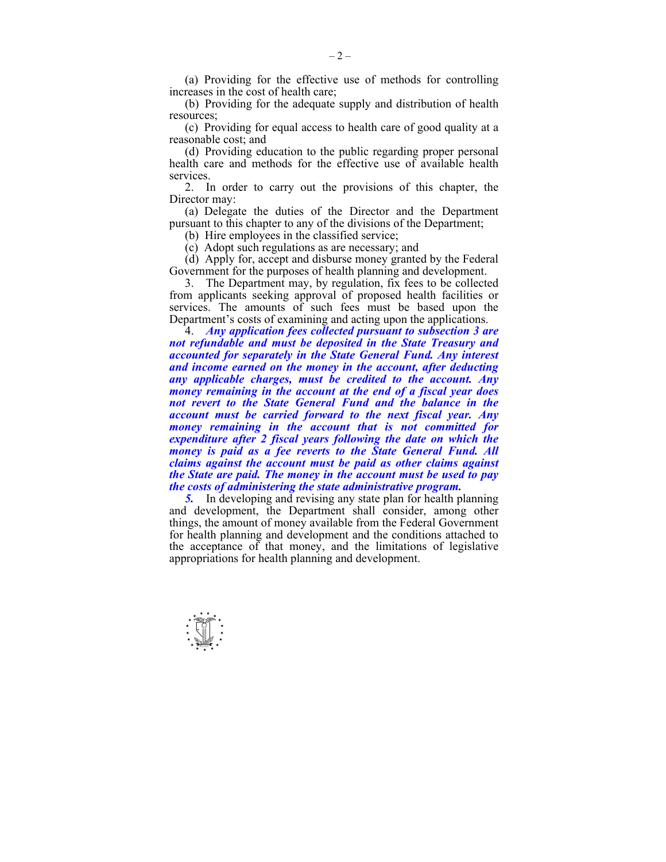(a) Providing for the effective use of methods for controlling increases in the cost of health care;

 (b) Providing for the adequate supply and distribution of health resources;

 (c) Providing for equal access to health care of good quality at a reasonable cost; and

 (d) Providing education to the public regarding proper personal health care and methods for the effective use of available health services.

 2. In order to carry out the provisions of this chapter, the Director may:

 (a) Delegate the duties of the Director and the Department pursuant to this chapter to any of the divisions of the Department;

(b) Hire employees in the classified service;

(c) Adopt such regulations as are necessary; and

 (d) Apply for, accept and disburse money granted by the Federal Government for the purposes of health planning and development.

 3. The Department may, by regulation, fix fees to be collected from applicants seeking approval of proposed health facilities or services. The amounts of such fees must be based upon the Department's costs of examining and acting upon the applications.

 4. *Any application fees collected pursuant to subsection 3 are not refundable and must be deposited in the State Treasury and accounted for separately in the State General Fund. Any interest and income earned on the money in the account, after deducting any applicable charges, must be credited to the account. Any money remaining in the account at the end of a fiscal year does not revert to the State General Fund and the balance in the account must be carried forward to the next fiscal year. Any money remaining in the account that is not committed for expenditure after 2 fiscal years following the date on which the money is paid as a fee reverts to the State General Fund. All claims against the account must be paid as other claims against the State are paid. The money in the account must be used to pay the costs of administering the state administrative program.* 

 *5.* In developing and revising any state plan for health planning and development, the Department shall consider, among other things, the amount of money available from the Federal Government for health planning and development and the conditions attached to the acceptance of that money, and the limitations of legislative appropriations for health planning and development.

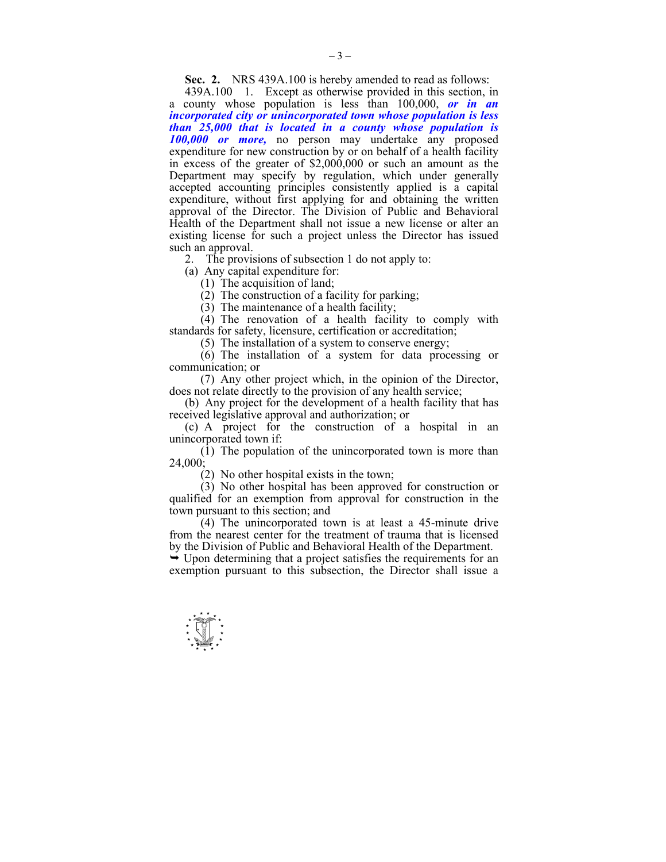**Sec. 2.** NRS 439A.100 is hereby amended to read as follows:

 439A.100 1. Except as otherwise provided in this section, in a county whose population is less than 100,000, *or in an incorporated city or unincorporated town whose population is less than 25,000 that is located in a county whose population is 100,000 or more,* no person may undertake any proposed expenditure for new construction by or on behalf of a health facility in excess of the greater of \$2,000,000 or such an amount as the Department may specify by regulation, which under generally accepted accounting principles consistently applied is a capital expenditure, without first applying for and obtaining the written approval of the Director. The Division of Public and Behavioral Health of the Department shall not issue a new license or alter an existing license for such a project unless the Director has issued such an approval.

2. The provisions of subsection 1 do not apply to:

(a) Any capital expenditure for:

(1) The acquisition of land;

 $(2)$  The construction of a facility for parking;

(3) The maintenance of a health facility;

 (4) The renovation of a health facility to comply with standards for safety, licensure, certification or accreditation;

(5) The installation of a system to conserve energy;

 (6) The installation of a system for data processing or communication; or

 (7) Any other project which, in the opinion of the Director, does not relate directly to the provision of any health service;

 (b) Any project for the development of a health facility that has received legislative approval and authorization; or

 (c) A project for the construction of a hospital in an unincorporated town if:

 (1) The population of the unincorporated town is more than 24,000;

(2) No other hospital exists in the town;

 (3) No other hospital has been approved for construction or qualified for an exemption from approval for construction in the town pursuant to this section; and

 (4) The unincorporated town is at least a 45-minute drive from the nearest center for the treatment of trauma that is licensed by the Division of Public and Behavioral Health of the Department.

 $\rightarrow$  Upon determining that a project satisfies the requirements for an exemption pursuant to this subsection, the Director shall issue a

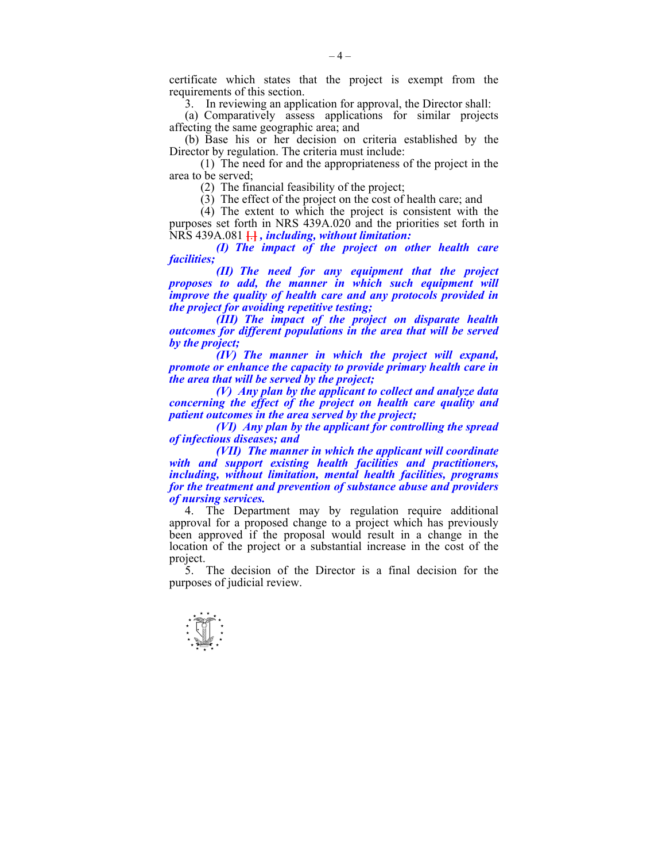certificate which states that the project is exempt from the requirements of this section.

3. In reviewing an application for approval, the Director shall:

 (a) Comparatively assess applications for similar projects affecting the same geographic area; and

 (b) Base his or her decision on criteria established by the Director by regulation. The criteria must include:

 (1) The need for and the appropriateness of the project in the area to be served;

(2) The financial feasibility of the project;

(3) The effect of the project on the cost of health care; and

 (4) The extent to which the project is consistent with the purposes set forth in NRS 439A.020 and the priorities set forth in NRS 439A.081 **[**.**]** *, including, without limitation:* 

 *(I) The impact of the project on other health care facilities;* 

 *(II) The need for any equipment that the project proposes to add, the manner in which such equipment will improve the quality of health care and any protocols provided in the project for avoiding repetitive testing;* 

 *(III) The impact of the project on disparate health outcomes for different populations in the area that will be served by the project;* 

 *(IV) The manner in which the project will expand, promote or enhance the capacity to provide primary health care in the area that will be served by the project;* 

 *(V) Any plan by the applicant to collect and analyze data concerning the effect of the project on health care quality and patient outcomes in the area served by the project;* 

 *(VI) Any plan by the applicant for controlling the spread of infectious diseases; and* 

 *(VII) The manner in which the applicant will coordinate with and support existing health facilities and practitioners, including, without limitation, mental health facilities, programs for the treatment and prevention of substance abuse and providers of nursing services.* 

 4. The Department may by regulation require additional approval for a proposed change to a project which has previously been approved if the proposal would result in a change in the location of the project or a substantial increase in the cost of the project.

 5. The decision of the Director is a final decision for the purposes of judicial review.